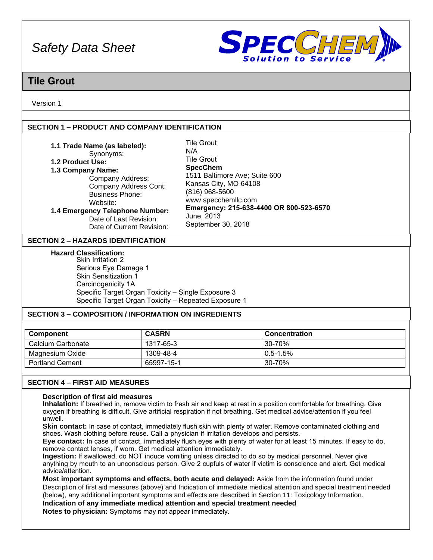

# **Tile Grout**

Version 1

# **SECTION 1 – PRODUCT AND COMPANY IDENTIFICATION**

| 1.1 Trade Name (as labeled):              | <b>Tile Grout</b>                       |
|-------------------------------------------|-----------------------------------------|
| Synonyms:                                 | N/A                                     |
| 1.2 Product Use:                          | <b>Tile Grout</b>                       |
| 1.3 Company Name:                         | <b>SpecChem</b>                         |
| Company Address:                          | 1511 Baltimore Ave; Suite 600           |
| Company Address Cont:                     | Kansas City, MO 64108                   |
| <b>Business Phone:</b>                    | (816) 968-5600                          |
| Website:                                  | www.specchemllc.com                     |
| 1.4 Emergency Telephone Number:           | Emergency: 215-638-4400 OR 800-523-6570 |
| Date of Last Revision:                    | June, 2013                              |
| Date of Current Revision:                 | September 30, 2018                      |
| <b>SECTION 2 – HAZARDS IDENTIFICATION</b> |                                         |

**Hazard Classification:**

Skin Irritation 2 Serious Eye Damage 1 Skin Sensitization 1 Carcinogenicity 1A Specific Target Organ Toxicity – Single Exposure 3 Specific Target Organ Toxicity – Repeated Exposure 1

# **SECTION 3 – COMPOSITION / INFORMATION ON INGREDIENTS**

| Component              | <b>CASRN</b> | <b>Concentration</b> |  |
|------------------------|--------------|----------------------|--|
| Calcium Carbonate      | 1317-65-3    | 30-70%               |  |
| Magnesium Oxide        | 1309-48-4    | $0.5 - 1.5%$         |  |
| <b>Portland Cement</b> | 65997-15-1   | 30-70%               |  |

# **SECTION 4 – FIRST AID MEASURES**

### **Description of first aid measures**

**Inhalation:** If breathed in, remove victim to fresh air and keep at rest in a position comfortable for breathing. Give oxygen if breathing is difficult. Give artificial respiration if not breathing. Get medical advice/attention if you feel unwell.

**Skin contact:** In case of contact, immediately flush skin with plenty of water. Remove contaminated clothing and shoes. Wash clothing before reuse. Call a physician if irritation develops and persists.

**Eye contact:** In case of contact, immediately flush eyes with plenty of water for at least 15 minutes. If easy to do, remove contact lenses, if worn. Get medical attention immediately.

**Ingestion:** If swallowed, do NOT induce vomiting unless directed to do so by medical personnel. Never give anything by mouth to an unconscious person. Give 2 cupfuls of water if victim is conscience and alert. Get medical advice/attention.

**Most important symptoms and effects, both acute and delayed:** Aside from the information found under Description of first aid measures (above) and Indication of immediate medical attention and special treatment needed (below), any additional important symptoms and effects are described in Section 11: Toxicology Information.

**Indication of any immediate medical attention and special treatment needed** 

**Notes to physician:** Symptoms may not appear immediately.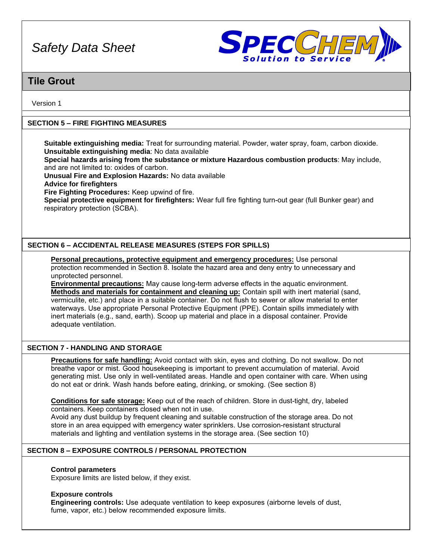

# **Tile Grout**

Version 1

# **SECTION 5 – FIRE FIGHTING MEASURES**

**Suitable extinguishing media:** Treat for surrounding material. Powder, water spray, foam, carbon dioxide. **Unsuitable extinguishing media**: No data available

**Special hazards arising from the substance or mixture Hazardous combustion products**: May include, and are not limited to: oxides of carbon.

**Unusual Fire and Explosion Hazards:** No data available

**Advice for firefighters** 

**Fire Fighting Procedures:** Keep upwind of fire.

**Special protective equipment for firefighters:** Wear full fire fighting turn-out gear (full Bunker gear) and respiratory protection (SCBA).

# **SECTION 6 – ACCIDENTAL RELEASE MEASURES (STEPS FOR SPILLS)**

**Personal precautions, protective equipment and emergency procedures:** Use personal protection recommended in Section 8. Isolate the hazard area and deny entry to unnecessary and unprotected personnel.

**Environmental precautions:** May cause long-term adverse effects in the aquatic environment. **Methods and materials for containment and cleaning up:** Contain spill with inert material (sand, vermiculite, etc.) and place in a suitable container. Do not flush to sewer or allow material to enter waterways. Use appropriate Personal Protective Equipment (PPE). Contain spills immediately with inert materials (e.g., sand, earth). Scoop up material and place in a disposal container. Provide adequate ventilation.

# **SECTION 7 - HANDLING AND STORAGE**

**Precautions for safe handling:** Avoid contact with skin, eyes and clothing. Do not swallow. Do not breathe vapor or mist. Good housekeeping is important to prevent accumulation of material. Avoid generating mist. Use only in well-ventilated areas. Handle and open container with care. When using do not eat or drink. Wash hands before eating, drinking, or smoking. (See section 8)

**Conditions for safe storage:** Keep out of the reach of children. Store in dust-tight, dry, labeled containers. Keep containers closed when not in use.

Avoid any dust buildup by frequent cleaning and suitable construction of the storage area. Do not store in an area equipped with emergency water sprinklers. Use corrosion-resistant structural materials and lighting and ventilation systems in the storage area. (See section 10)

# **SECTION 8 – EXPOSURE CONTROLS / PERSONAL PROTECTION**

### **Control parameters**

Exposure limits are listed below, if they exist.

### **Exposure controls**

**Engineering controls:** Use adequate ventilation to keep exposures (airborne levels of dust, fume, vapor, etc.) below recommended exposure limits.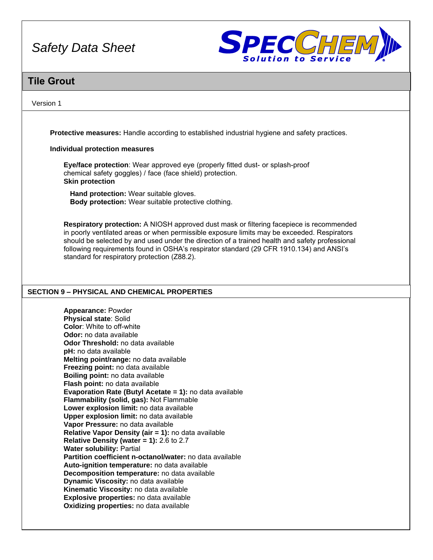

# **Tile Grout**

### Version 1

**Protective measures:** Handle according to established industrial hygiene and safety practices.

### **Individual protection measures**

**Eye/face protection**: Wear approved eye (properly fitted dust- or splash-proof chemical safety goggles) / face (face shield) protection. **Skin protection** 

**Hand protection:** Wear suitable gloves. **Body protection:** Wear suitable protective clothing.

**Respiratory protection:** A NIOSH approved dust mask or filtering facepiece is recommended in poorly ventilated areas or when permissible exposure limits may be exceeded. Respirators should be selected by and used under the direction of a trained health and safety professional following requirements found in OSHA's respirator standard (29 CFR 1910.134) and ANSI's standard for respiratory protection (Z88.2).

# **SECTION 9 – PHYSICAL AND CHEMICAL PROPERTIES**

**Appearance:** Powder **Physical state**: Solid **Color**: White to off-white **Odor:** no data available **Odor Threshold:** no data available **pH:** no data available **Melting point/range:** no data available **Freezing point:** no data available **Boiling point:** no data available **Flash point:** no data available **Evaporation Rate (Butyl Acetate = 1):** no data available **Flammability (solid, gas):** Not Flammable **Lower explosion limit:** no data available **Upper explosion limit:** no data available **Vapor Pressure:** no data available **Relative Vapor Density (air = 1):** no data available **Relative Density (water = 1):** 2.6 to 2.7 **Water solubility:** Partial **Partition coefficient n-octanol/water:** no data available **Auto-ignition temperature:** no data available **Decomposition temperature:** no data available **Dynamic Viscosity:** no data available **Kinematic Viscosity:** no data available **Explosive properties:** no data available **Oxidizing properties:** no data available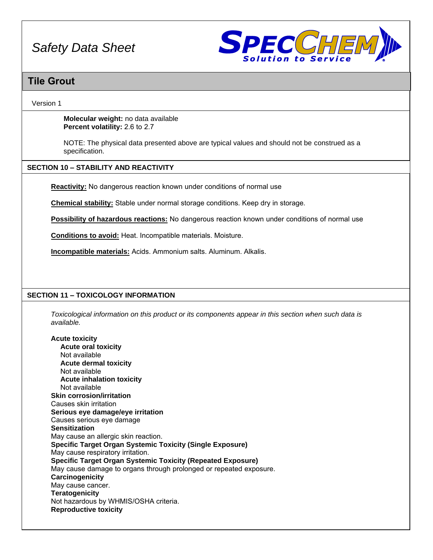

# **Tile Grout**

Version 1

**Molecular weight:** no data available **Percent volatility:** 2.6 to 2.7

NOTE: The physical data presented above are typical values and should not be construed as a specification.

# **SECTION 10 – STABILITY AND REACTIVITY**

**Reactivity:** No dangerous reaction known under conditions of normal use

**Chemical stability:** Stable under normal storage conditions. Keep dry in storage.

**Possibility of hazardous reactions:** No dangerous reaction known under conditions of normal use

**Conditions to avoid:** Heat. Incompatible materials. Moisture.

**Incompatible materials:** Acids. Ammonium salts. Aluminum. Alkalis.

# **SECTION 11 – TOXICOLOGY INFORMATION**

*Toxicological information on this product or its components appear in this section when such data is available.*

**Acute toxicity Acute oral toxicity**  Not available **Acute dermal toxicity**  Not available **Acute inhalation toxicity**  Not available **Skin corrosion/irritation**  Causes skin irritation **Serious eye damage/eye irritation**  Causes serious eye damage **Sensitization**  May cause an allergic skin reaction. **Specific Target Organ Systemic Toxicity (Single Exposure)**  May cause respiratory irritation. **Specific Target Organ Systemic Toxicity (Repeated Exposure)**  May cause damage to organs through prolonged or repeated exposure. **Carcinogenicity**  May cause cancer. **Teratogenicity**  Not hazardous by WHMIS/OSHA criteria. **Reproductive toxicity**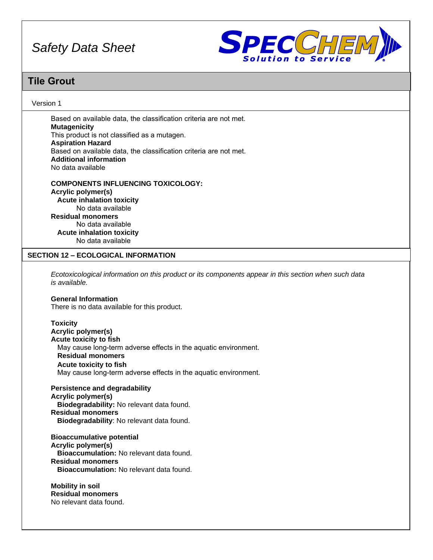

# **Tile Grout**

### Version 1

Based on available data, the classification criteria are not met. **Mutagenicity**  This product is not classified as a mutagen. **Aspiration Hazard**  Based on available data, the classification criteria are not met. **Additional information**  No data available

**COMPONENTS INFLUENCING TOXICOLOGY: Acrylic polymer(s) Acute inhalation toxicity**  No data available **Residual monomers**  No data available **Acute inhalation toxicity**  No data available

### **SECTION 12 – ECOLOGICAL INFORMATION**

*Ecotoxicological information on this product or its components appear in this section when such data is available.*

#### **General Information**

There is no data available for this product.

**Toxicity Acrylic polymer(s) Acute toxicity to fish**  May cause long-term adverse effects in the aquatic environment. **Residual monomers Acute toxicity to fish**  May cause long-term adverse effects in the aquatic environment.

**Persistence and degradability Acrylic polymer(s) Biodegradability:** No relevant data found. **Residual monomers Biodegradability**: No relevant data found.

**Bioaccumulative potential Acrylic polymer(s) Bioaccumulation:** No relevant data found. **Residual monomers Bioaccumulation:** No relevant data found.

**Mobility in soil Residual monomers** No relevant data found.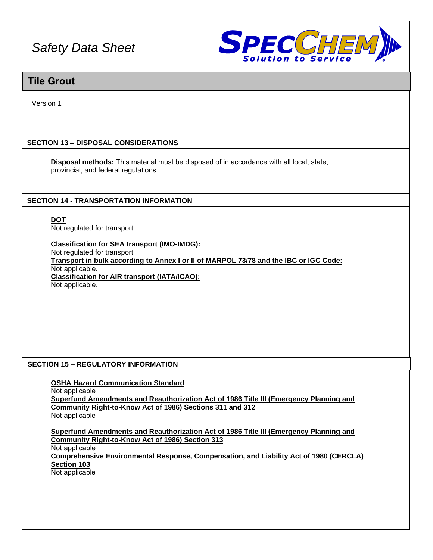

# **Tile Grout**

Version 1

# **SECTION 13 – DISPOSAL CONSIDERATIONS**

**Disposal methods:** This material must be disposed of in accordance with all local, state, provincial, and federal regulations.

# **SECTION 14 - TRANSPORTATION INFORMATION**

**DOT** Not regulated for transport

**Classification for SEA transport (IMO-IMDG):**

Not regulated for transport **Transport in bulk according to Annex I or II of MARPOL 73/78 and the IBC or IGC Code:** Not applicable. **Classification for AIR transport (IATA/ICAO):** Not applicable.

# **SECTION 15 – REGULATORY INFORMATION**

**OSHA Hazard Communication Standard**

Not applicable

**Superfund Amendments and Reauthorization Act of 1986 Title III (Emergency Planning and Community Right-to-Know Act of 1986) Sections 311 and 312** Not applicable

**Superfund Amendments and Reauthorization Act of 1986 Title III (Emergency Planning and Community Right-to-Know Act of 1986) Section 313** Not applicable **Comprehensive Environmental Response, Compensation, and Liability Act of 1980 (CERCLA) Section 103** Not applicable